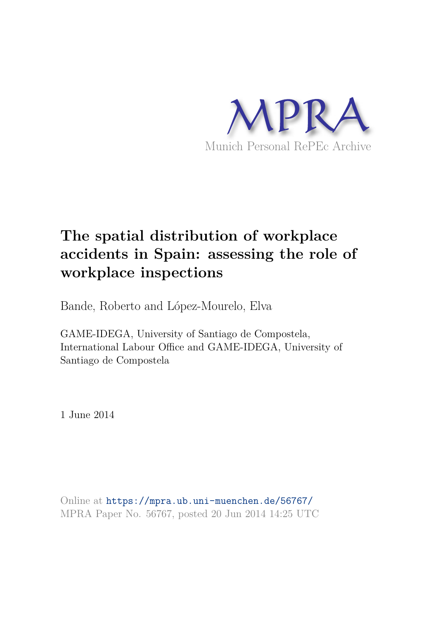

## **The spatial distribution of workplace accidents in Spain: assessing the role of workplace inspections**

Bande, Roberto and López-Mourelo, Elva

GAME-IDEGA, University of Santiago de Compostela, International Labour Office and GAME-IDEGA, University of Santiago de Compostela

1 June 2014

Online at https://mpra.ub.uni-muenchen.de/56767/ MPRA Paper No. 56767, posted 20 Jun 2014 14:25 UTC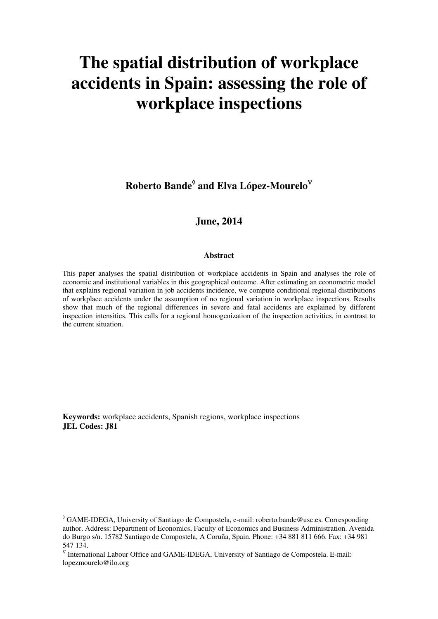# **The spatial distribution of workplace accidents in Spain: assessing the role of workplace inspections**

 ${\bf R}$ oberto Bande $^{\lozenge}$  and Elva López-Mourelo $^{\nabla}$ 

## **June, 2014**

#### **Abstract**

This paper analyses the spatial distribution of workplace accidents in Spain and analyses the role of economic and institutional variables in this geographical outcome. After estimating an econometric model that explains regional variation in job accidents incidence, we compute conditional regional distributions of workplace accidents under the assumption of no regional variation in workplace inspections. Results show that much of the regional differences in severe and fatal accidents are explained by different inspection intensities. This calls for a regional homogenization of the inspection activities, in contrast to the current situation.

**Keywords:** workplace accidents, Spanish regions, workplace inspections **JEL Codes: J81** 

 $\degree$  GAME-IDEGA, University of Santiago de Compostela, e-mail: roberto.bande@usc.es. Corresponding author. Address: Department of Economics, Faculty of Economics and Business Administration. Avenida do Burgo s/n. 15782 Santiago de Compostela, A Coruña, Spain. Phone: +34 881 811 666. Fax: +34 981 547 134.

 $\sqrt{\ }$  International Labour Office and GAME-IDEGA, University of Santiago de Compostela. E-mail: lopezmourelo@ilo.org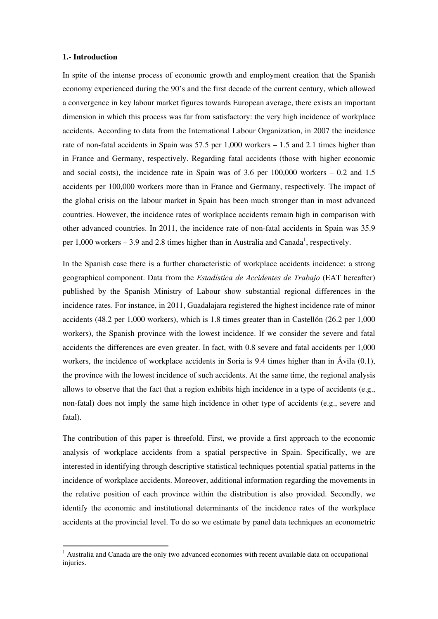#### **1.- Introduction**

In spite of the intense process of economic growth and employment creation that the Spanish economy experienced during the 90's and the first decade of the current century, which allowed a convergence in key labour market figures towards European average, there exists an important dimension in which this process was far from satisfactory: the very high incidence of workplace accidents. According to data from the International Labour Organization, in 2007 the incidence rate of non-fatal accidents in Spain was 57.5 per 1,000 workers – 1.5 and 2.1 times higher than in France and Germany, respectively. Regarding fatal accidents (those with higher economic and social costs), the incidence rate in Spain was of  $3.6$  per  $100,000$  workers  $-0.2$  and  $1.5$ accidents per 100,000 workers more than in France and Germany, respectively. The impact of the global crisis on the labour market in Spain has been much stronger than in most advanced countries. However, the incidence rates of workplace accidents remain high in comparison with other advanced countries. In 2011, the incidence rate of non-fatal accidents in Spain was 35.9 per  $1,000$  workers  $-3.9$  and 2.8 times higher than in Australia and Canada<sup>1</sup>, respectively.

In the Spanish case there is a further characteristic of workplace accidents incidence: a strong geographical component. Data from the *Estadística de Accidentes de Trabajo* (EAT hereafter) published by the Spanish Ministry of Labour show substantial regional differences in the incidence rates. For instance, in 2011, Guadalajara registered the highest incidence rate of minor accidents (48.2 per 1,000 workers), which is 1.8 times greater than in Castellón (26.2 per 1,000 workers), the Spanish province with the lowest incidence. If we consider the severe and fatal accidents the differences are even greater. In fact, with 0.8 severe and fatal accidents per 1,000 workers, the incidence of workplace accidents in Soria is 9.4 times higher than in Ávila (0.1), the province with the lowest incidence of such accidents. At the same time, the regional analysis allows to observe that the fact that a region exhibits high incidence in a type of accidents (e.g., non-fatal) does not imply the same high incidence in other type of accidents (e.g., severe and fatal).

The contribution of this paper is threefold. First, we provide a first approach to the economic analysis of workplace accidents from a spatial perspective in Spain. Specifically, we are interested in identifying through descriptive statistical techniques potential spatial patterns in the incidence of workplace accidents. Moreover, additional information regarding the movements in the relative position of each province within the distribution is also provided. Secondly, we identify the economic and institutional determinants of the incidence rates of the workplace accidents at the provincial level. To do so we estimate by panel data techniques an econometric

<sup>&</sup>lt;sup>1</sup> Australia and Canada are the only two advanced economies with recent available data on occupational injuries.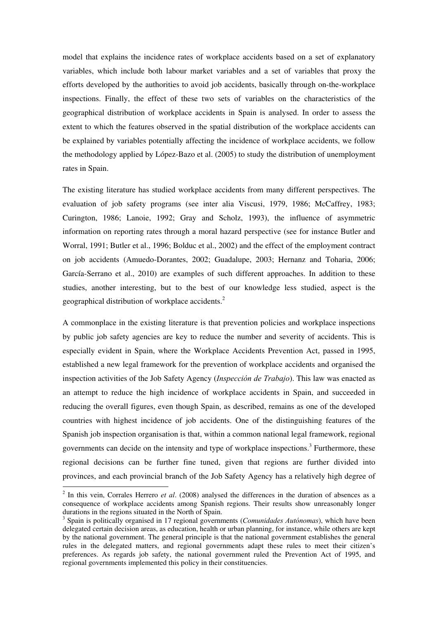model that explains the incidence rates of workplace accidents based on a set of explanatory variables, which include both labour market variables and a set of variables that proxy the efforts developed by the authorities to avoid job accidents, basically through on-the-workplace inspections. Finally, the effect of these two sets of variables on the characteristics of the geographical distribution of workplace accidents in Spain is analysed. In order to assess the extent to which the features observed in the spatial distribution of the workplace accidents can be explained by variables potentially affecting the incidence of workplace accidents, we follow the methodology applied by López-Bazo et al. (2005) to study the distribution of unemployment rates in Spain.

The existing literature has studied workplace accidents from many different perspectives. The evaluation of job safety programs (see inter alia Viscusi, 1979, 1986; McCaffrey, 1983; Curington, 1986; Lanoie, 1992; Gray and Scholz, 1993), the influence of asymmetric information on reporting rates through a moral hazard perspective (see for instance Butler and Worral, 1991; Butler et al., 1996; Bolduc et al., 2002) and the effect of the employment contract on job accidents (Amuedo-Dorantes, 2002; Guadalupe, 2003; Hernanz and Toharia, 2006; García-Serrano et al., 2010) are examples of such different approaches. In addition to these studies, another interesting, but to the best of our knowledge less studied, aspect is the geographical distribution of workplace accidents.<sup>2</sup>

A commonplace in the existing literature is that prevention policies and workplace inspections by public job safety agencies are key to reduce the number and severity of accidents. This is especially evident in Spain, where the Workplace Accidents Prevention Act, passed in 1995, established a new legal framework for the prevention of workplace accidents and organised the inspection activities of the Job Safety Agency (*Inspección de Trabajo*). This law was enacted as an attempt to reduce the high incidence of workplace accidents in Spain, and succeeded in reducing the overall figures, even though Spain, as described, remains as one of the developed countries with highest incidence of job accidents. One of the distinguishing features of the Spanish job inspection organisation is that, within a common national legal framework, regional governments can decide on the intensity and type of workplace inspections.<sup>3</sup> Furthermore, these regional decisions can be further fine tuned, given that regions are further divided into provinces, and each provincial branch of the Job Safety Agency has a relatively high degree of

<sup>&</sup>lt;sup>2</sup> In this vein, Corrales Herrero *et al.* (2008) analysed the differences in the duration of absences as a consequence of workplace accidents among Spanish regions. Their results show unreasonably longer durations in the regions situated in the North of Spain.

<sup>3</sup> Spain is politically organised in 17 regional governments (*Comunidades Autónomas*), which have been delegated certain decision areas, as education, health or urban planning, for instance, while others are kept by the national government. The general principle is that the national government establishes the general rules in the delegated matters, and regional governments adapt these rules to meet their citizen's preferences. As regards job safety, the national government ruled the Prevention Act of 1995, and regional governments implemented this policy in their constituencies.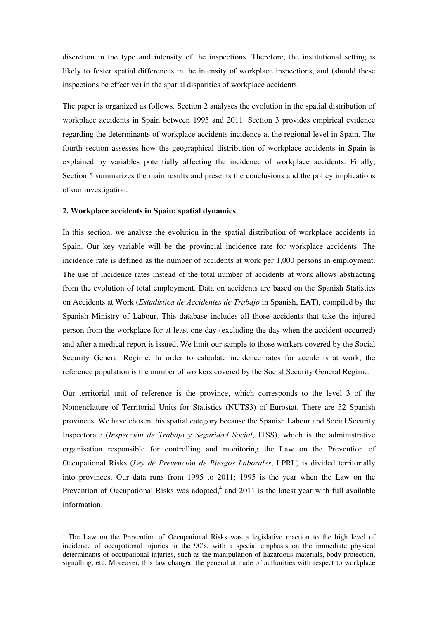discretion in the type and intensity of the inspections. Therefore, the institutional setting is likely to foster spatial differences in the intensity of workplace inspections, and (should these inspections be effective) in the spatial disparities of workplace accidents.

The paper is organized as follows. Section 2 analyses the evolution in the spatial distribution of workplace accidents in Spain between 1995 and 2011. Section 3 provides empirical evidence regarding the determinants of workplace accidents incidence at the regional level in Spain. The fourth section assesses how the geographical distribution of workplace accidents in Spain is explained by variables potentially affecting the incidence of workplace accidents. Finally, Section 5 summarizes the main results and presents the conclusions and the policy implications of our investigation.

#### **2. Workplace accidents in Spain: spatial dynamics**

In this section, we analyse the evolution in the spatial distribution of workplace accidents in Spain. Our key variable will be the provincial incidence rate for workplace accidents. The incidence rate is defined as the number of accidents at work per 1,000 persons in employment. The use of incidence rates instead of the total number of accidents at work allows abstracting from the evolution of total employment. Data on accidents are based on the Spanish Statistics on Accidents at Work (*Estadística de Accidentes de Trabajo* in Spanish, EAT), compiled by the Spanish Ministry of Labour. This database includes all those accidents that take the injured person from the workplace for at least one day (excluding the day when the accident occurred) and after a medical report is issued. We limit our sample to those workers covered by the Social Security General Regime. In order to calculate incidence rates for accidents at work, the reference population is the number of workers covered by the Social Security General Regime.

Our territorial unit of reference is the province, which corresponds to the level 3 of the Nomenclature of Territorial Units for Statistics (NUTS3) of Eurostat. There are 52 Spanish provinces. We have chosen this spatial category because the Spanish Labour and Social Security Inspectorate (*Inspección de Trabajo y Seguridad Social*, ITSS), which is the administrative organisation responsible for controlling and monitoring the Law on the Prevention of Occupational Risks (*Ley de Prevención de Riesgos Laborales*, LPRL) is divided territorially into provinces. Our data runs from 1995 to 2011; 1995 is the year when the Law on the Prevention of Occupational Risks was adopted, $4$  and 2011 is the latest year with full available information.

<sup>&</sup>lt;sup>4</sup> The Law on the Prevention of Occupational Risks was a legislative reaction to the high level of incidence of occupational injuries in the 90's, with a special emphasis on the immediate physical determinants of occupational injuries, such as the manipulation of hazardous materials, body protection, signalling, etc. Moreover, this law changed the general attitude of authorities with respect to workplace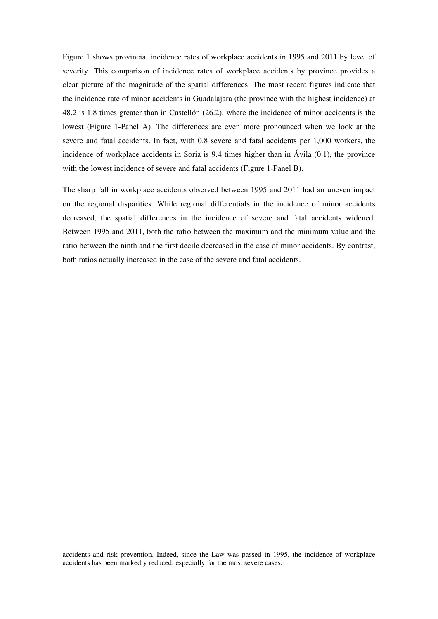Figure 1 shows provincial incidence rates of workplace accidents in 1995 and 2011 by level of severity. This comparison of incidence rates of workplace accidents by province provides a clear picture of the magnitude of the spatial differences. The most recent figures indicate that the incidence rate of minor accidents in Guadalajara (the province with the highest incidence) at 48.2 is 1.8 times greater than in Castellón (26.2), where the incidence of minor accidents is the lowest (Figure 1-Panel A). The differences are even more pronounced when we look at the severe and fatal accidents. In fact, with 0.8 severe and fatal accidents per 1,000 workers, the incidence of workplace accidents in Soria is 9.4 times higher than in Ávila (0.1), the province with the lowest incidence of severe and fatal accidents (Figure 1-Panel B).

The sharp fall in workplace accidents observed between 1995 and 2011 had an uneven impact on the regional disparities. While regional differentials in the incidence of minor accidents decreased, the spatial differences in the incidence of severe and fatal accidents widened. Between 1995 and 2011, both the ratio between the maximum and the minimum value and the ratio between the ninth and the first decile decreased in the case of minor accidents. By contrast, both ratios actually increased in the case of the severe and fatal accidents.

<u> 1989 - Johann Barn, amerikansk politiker (d. 1989)</u> accidents and risk prevention. Indeed, since the Law was passed in 1995, the incidence of workplace accidents has been markedly reduced, especially for the most severe cases.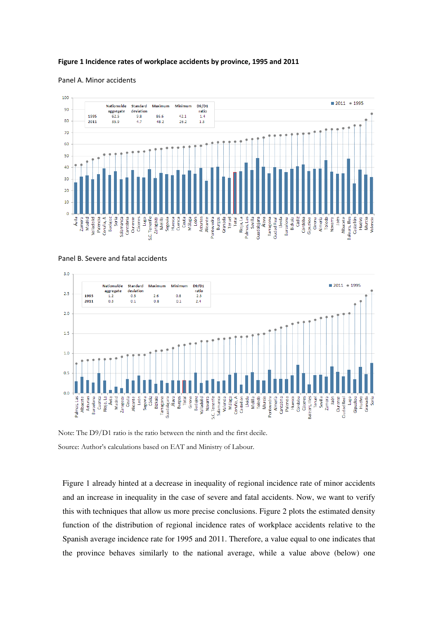#### **Figure 1 Incidence rates of workplace accidents by province, 1995 and 2011**

#### Panel A. Minor accidents



 $30$  $2011 - 1995$ **Nationwide** Standard Maximum Minimum **D9/D1** aggregate  $ratio$ <br> $2.3$ deviation  $2.5$ 1995  $2.6$  $0.8$  $1.2$  $0.5$ 2011  $0.3$  $_{0.1}$  $0.8$  $_{0.1}$  $2.4$  $2.0$  $1.5$  $1.0$  $0.5$  $0.0$ Cáceres<br>Balears, Illes<br>Teruel<br>Sevilla Ourense Palmas, Las<br>Albacete Rioja, La eoxprdig<br>|<br>| gm Madrid Ceuta Segovia Bizkaia Álava Burgos Girona **Tenerife** Lleida Melilla Toledo Almería Palencia Córdoba Cuenca Ávila León Cádiz Guadalajara Total Málaga Huesca **Huelva** Granada Asturias arcelona Zaragoza Alicante **Farragona** Badajoz Valladolid Navarra Salamanca Valencia Coruña, A Castellón Murcia **Pontevedra** Cantabria Zamora Jaén

Soria

Panel B. Severe and fatal accidents

Note: The D9/D1 ratio is the ratio between the ninth and the first decile. Source: Author's calculations based on EAT and Ministry of Labour.

Figure 1 already hinted at a decrease in inequality of regional incidence rate of minor accidents and an increase in inequality in the case of severe and fatal accidents. Now, we want to verify this with techniques that allow us more precise conclusions. Figure 2 plots the estimated density function of the distribution of regional incidence rates of workplace accidents relative to the Spanish average incidence rate for 1995 and 2011. Therefore, a value equal to one indicates that the province behaves similarly to the national average, while a value above (below) one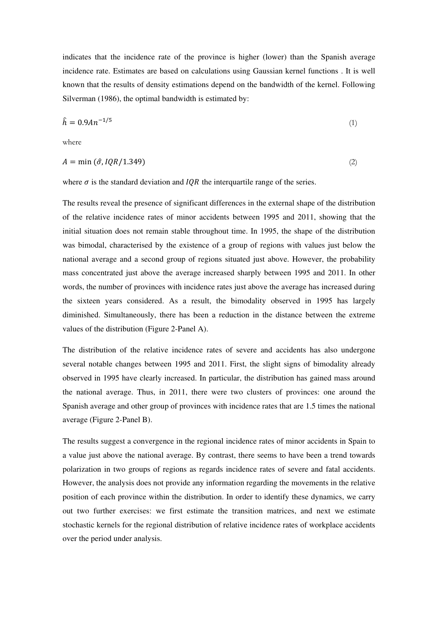indicates that the incidence rate of the province is higher (lower) than the Spanish average incidence rate. Estimates are based on calculations using Gaussian kernel functions . It is well known that the results of density estimations depend on the bandwidth of the kernel. Following Silverman (1986), the optimal bandwidth is estimated by:

$$
\hat{h} = 0.9A n^{-1/5} \tag{1}
$$

where

$$
A = \min(\hat{\sigma}, IQR/1.349) \tag{2}
$$

where  $\sigma$  is the standard deviation and *IQR* the interquartile range of the series.

The results reveal the presence of significant differences in the external shape of the distribution of the relative incidence rates of minor accidents between 1995 and 2011, showing that the initial situation does not remain stable throughout time. In 1995, the shape of the distribution was bimodal, characterised by the existence of a group of regions with values just below the national average and a second group of regions situated just above. However, the probability mass concentrated just above the average increased sharply between 1995 and 2011. In other words, the number of provinces with incidence rates just above the average has increased during the sixteen years considered. As a result, the bimodality observed in 1995 has largely diminished. Simultaneously, there has been a reduction in the distance between the extreme values of the distribution (Figure 2-Panel A).

The distribution of the relative incidence rates of severe and accidents has also undergone several notable changes between 1995 and 2011. First, the slight signs of bimodality already observed in 1995 have clearly increased. In particular, the distribution has gained mass around the national average. Thus, in 2011, there were two clusters of provinces: one around the Spanish average and other group of provinces with incidence rates that are 1.5 times the national average (Figure 2-Panel B).

The results suggest a convergence in the regional incidence rates of minor accidents in Spain to a value just above the national average. By contrast, there seems to have been a trend towards polarization in two groups of regions as regards incidence rates of severe and fatal accidents. However, the analysis does not provide any information regarding the movements in the relative position of each province within the distribution. In order to identify these dynamics, we carry out two further exercises: we first estimate the transition matrices, and next we estimate stochastic kernels for the regional distribution of relative incidence rates of workplace accidents over the period under analysis.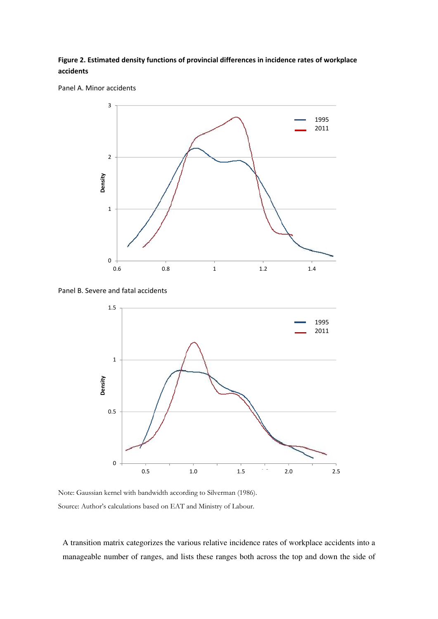## **Figure 2. Estimated density functions of provincial differences in incidence rates of workplace accidents**





Panel B. Severe and fatal accidents



Note: Gaussian kernel with bandwidth according to Silverman (1986). Source: Author's calculations based on EAT and Ministry of Labour.

A transition matrix categorizes the various relative incidence rates of workplace accidents into a manageable number of ranges, and lists these ranges both across the top and down the side of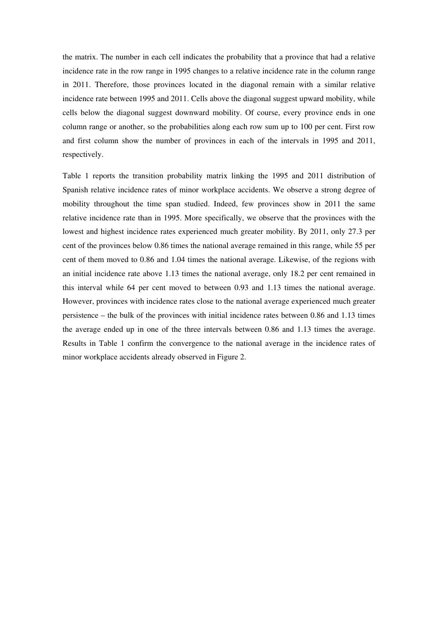the matrix. The number in each cell indicates the probability that a province that had a relative incidence rate in the row range in 1995 changes to a relative incidence rate in the column range in 2011. Therefore, those provinces located in the diagonal remain with a similar relative incidence rate between 1995 and 2011. Cells above the diagonal suggest upward mobility, while cells below the diagonal suggest downward mobility. Of course, every province ends in one column range or another, so the probabilities along each row sum up to 100 per cent. First row and first column show the number of provinces in each of the intervals in 1995 and 2011, respectively.

Table 1 reports the transition probability matrix linking the 1995 and 2011 distribution of Spanish relative incidence rates of minor workplace accidents. We observe a strong degree of mobility throughout the time span studied. Indeed, few provinces show in 2011 the same relative incidence rate than in 1995. More specifically, we observe that the provinces with the lowest and highest incidence rates experienced much greater mobility. By 2011, only 27.3 per cent of the provinces below 0.86 times the national average remained in this range, while 55 per cent of them moved to 0.86 and 1.04 times the national average. Likewise, of the regions with an initial incidence rate above 1.13 times the national average, only 18.2 per cent remained in this interval while 64 per cent moved to between 0.93 and 1.13 times the national average. However, provinces with incidence rates close to the national average experienced much greater persistence – the bulk of the provinces with initial incidence rates between 0.86 and 1.13 times the average ended up in one of the three intervals between 0.86 and 1.13 times the average. Results in Table 1 confirm the convergence to the national average in the incidence rates of minor workplace accidents already observed in Figure 2.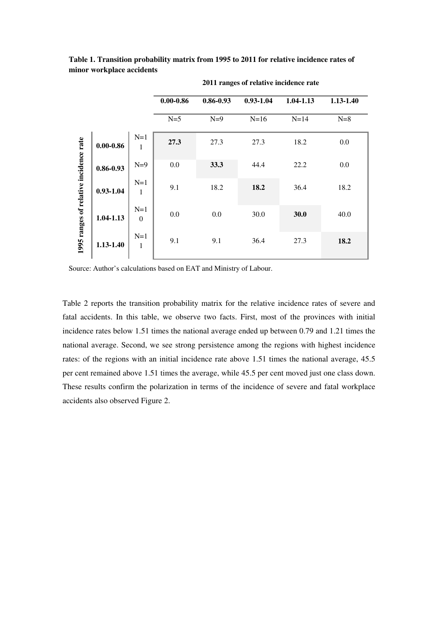|                                        |               |                           | $0.00 - 0.86$ | $0.86 - 0.93$ | $0.93 - 1.04$ | 1.04-1.13 | 1.13-1.40 |
|----------------------------------------|---------------|---------------------------|---------------|---------------|---------------|-----------|-----------|
|                                        |               |                           | $N=5$         | $N=9$         | $N=16$        | $N=14$    | $N=8$     |
| 1995 ranges of relative incidence rate | $0.00 - 0.86$ | $N=1$<br>1                | 27.3          | 27.3          | 27.3          | 18.2      | 0.0       |
|                                        | $0.86 - 0.93$ | $N=9$                     | 0.0           | 33.3          | 44.4          | 22.2      | 0.0       |
|                                        | $0.93 - 1.04$ | $N=1$<br>1                | 9.1           | 18.2          | 18.2          | 36.4      | 18.2      |
|                                        | 1.04-1.13     | $N=1$<br>$\boldsymbol{0}$ | 0.0           | 0.0           | 30.0          | 30.0      | 40.0      |
|                                        | 1.13-1.40     | $N=1$<br>1                | 9.1           | 9.1           | 36.4          | 27.3      | 18.2      |

**Table 1. Transition probability matrix from 1995 to 2011 for relative incidence rates of minor workplace accidents** 

 **2011 ranges of relative incidence rate** 

Source: Author's calculations based on EAT and Ministry of Labour.

Table 2 reports the transition probability matrix for the relative incidence rates of severe and fatal accidents. In this table, we observe two facts. First, most of the provinces with initial incidence rates below 1.51 times the national average ended up between 0.79 and 1.21 times the national average. Second, we see strong persistence among the regions with highest incidence rates: of the regions with an initial incidence rate above 1.51 times the national average, 45.5 per cent remained above 1.51 times the average, while 45.5 per cent moved just one class down. These results confirm the polarization in terms of the incidence of severe and fatal workplace accidents also observed Figure 2.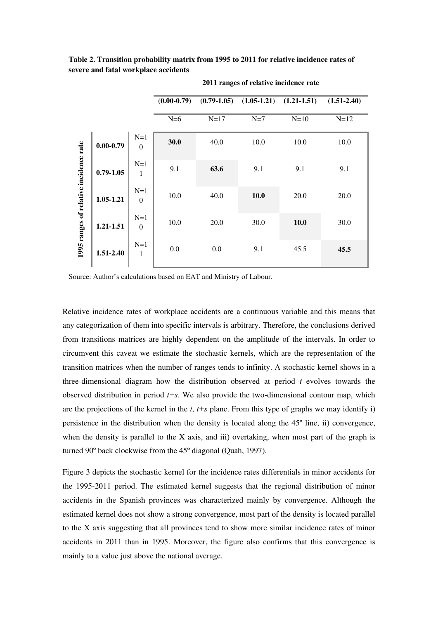**Table 2. Transition probability matrix from 1995 to 2011 for relative incidence rates of severe and fatal workplace accidents** 

|                                        |               |                       | $(0.00-0.79)$ |        | $(0.79-1.05)$ $(1.05-1.21)$ $(1.21-1.51)$ |        | $(1.51 - 2.40)$ |
|----------------------------------------|---------------|-----------------------|---------------|--------|-------------------------------------------|--------|-----------------|
|                                        |               |                       | $N=6$         | $N=17$ | $N=7$                                     | $N=10$ | $N=12$          |
| 1995 ranges of relative incidence rate | $0.00 - 0.79$ | $N=1$<br>$\Omega$     | 30.0          | 40.0   | 10.0                                      | 10.0   | 10.0            |
|                                        | $0.79 - 1.05$ | $N=1$<br>$\mathbf{1}$ | 9.1           | 63.6   | 9.1                                       | 9.1    | 9.1             |
|                                        | 1.05-1.21     | $N=1$<br>$\Omega$     | 10.0          | 40.0   | 10.0                                      | 20.0   | 20.0            |
|                                        | 1.21-1.51     | $N=1$<br>$\Omega$     | 10.0          | 20.0   | 30.0                                      | 10.0   | 30.0            |
|                                        | 1.51-2.40     | $N=1$<br>$\mathbf{1}$ | 0.0           | 0.0    | 9.1                                       | 45.5   | 45.5            |

 **2011 ranges of relative incidence rate** 

Source: Author's calculations based on EAT and Ministry of Labour.

Relative incidence rates of workplace accidents are a continuous variable and this means that any categorization of them into specific intervals is arbitrary. Therefore, the conclusions derived from transitions matrices are highly dependent on the amplitude of the intervals. In order to circumvent this caveat we estimate the stochastic kernels, which are the representation of the transition matrices when the number of ranges tends to infinity. A stochastic kernel shows in a three-dimensional diagram how the distribution observed at period *t* evolves towards the observed distribution in period *t+s*. We also provide the two-dimensional contour map, which are the projections of the kernel in the *t*, *t+s* plane. From this type of graphs we may identify i) persistence in the distribution when the density is located along the 45º line, ii) convergence, when the density is parallel to the X axis, and iii) overtaking, when most part of the graph is turned 90º back clockwise from the 45º diagonal (Quah, 1997).

Figure 3 depicts the stochastic kernel for the incidence rates differentials in minor accidents for the 1995-2011 period. The estimated kernel suggests that the regional distribution of minor accidents in the Spanish provinces was characterized mainly by convergence. Although the estimated kernel does not show a strong convergence, most part of the density is located parallel to the X axis suggesting that all provinces tend to show more similar incidence rates of minor accidents in 2011 than in 1995. Moreover, the figure also confirms that this convergence is mainly to a value just above the national average.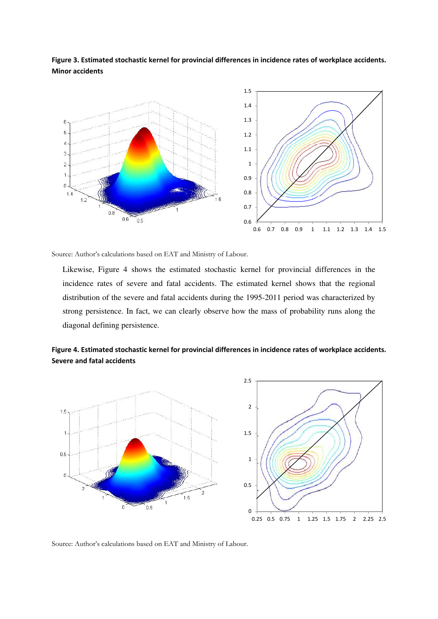**Figure 3. Estimated stochastic kernel for provincial differences in incidence rates of workplace accidents. Minor accidents**



Source: Author's calculations based on EAT and Ministry of Labour.

Likewise, Figure 4 shows the estimated stochastic kernel for provincial differences in the incidence rates of severe and fatal accidents. The estimated kernel shows that the regional distribution of the severe and fatal accidents during the 1995-2011 period was characterized by strong persistence. In fact, we can clearly observe how the mass of probability runs along the diagonal defining persistence.

**Figure 4. Estimated stochastic kernel for provincial differences in incidence rates of workplace accidents. Severe and fatal accidents**



Source: Author's calculations based on EAT and Ministry of Labour.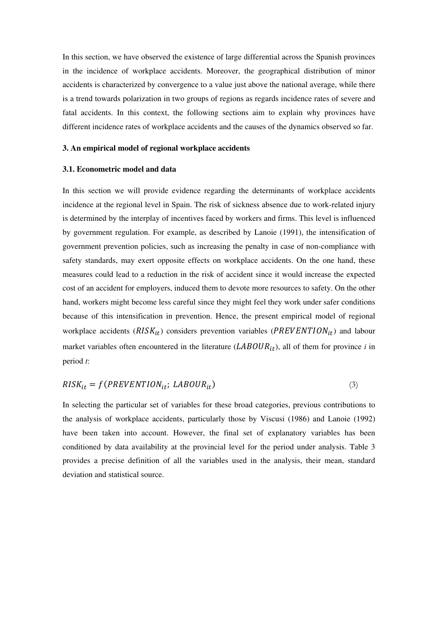In this section, we have observed the existence of large differential across the Spanish provinces in the incidence of workplace accidents. Moreover, the geographical distribution of minor accidents is characterized by convergence to a value just above the national average, while there is a trend towards polarization in two groups of regions as regards incidence rates of severe and fatal accidents. In this context, the following sections aim to explain why provinces have different incidence rates of workplace accidents and the causes of the dynamics observed so far.

#### **3. An empirical model of regional workplace accidents**

#### **3.1. Econometric model and data**

In this section we will provide evidence regarding the determinants of workplace accidents incidence at the regional level in Spain. The risk of sickness absence due to work-related injury is determined by the interplay of incentives faced by workers and firms. This level is influenced by government regulation. For example, as described by Lanoie (1991), the intensification of government prevention policies, such as increasing the penalty in case of non-compliance with safety standards, may exert opposite effects on workplace accidents. On the one hand, these measures could lead to a reduction in the risk of accident since it would increase the expected cost of an accident for employers, induced them to devote more resources to safety. On the other hand, workers might become less careful since they might feel they work under safer conditions because of this intensification in prevention. Hence, the present empirical model of regional workplace accidents ( $RISK_{it}$ ) considers prevention variables ( $PREVENTION_{it}$ ) and labour market variables often encountered in the literature  $(LABOUR_{it})$ , all of them for province *i* in period *t*:

$$
RISK_{it} = f(PREVENTION_{it}; LABOUR_{it})
$$
\n(3)

In selecting the particular set of variables for these broad categories, previous contributions to the analysis of workplace accidents, particularly those by Viscusi (1986) and Lanoie (1992) have been taken into account. However, the final set of explanatory variables has been conditioned by data availability at the provincial level for the period under analysis. Table 3 provides a precise definition of all the variables used in the analysis, their mean, standard deviation and statistical source.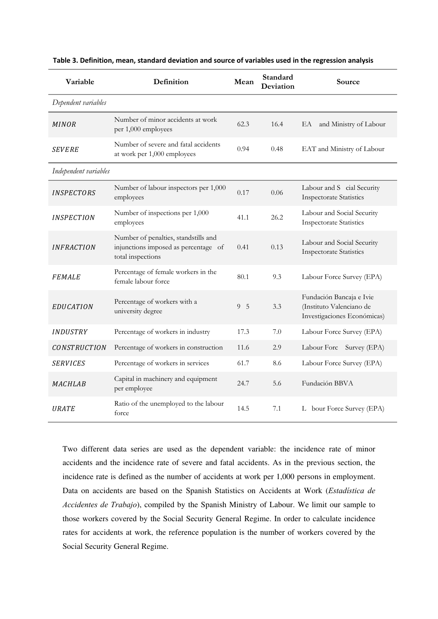| Variable                 | Definition                                                                                        | Mean        | Standard<br>Deviation | Source                                                                              |  |  |  |
|--------------------------|---------------------------------------------------------------------------------------------------|-------------|-----------------------|-------------------------------------------------------------------------------------|--|--|--|
| Dependent variables      |                                                                                                   |             |                       |                                                                                     |  |  |  |
| <b>MINOR</b>             | Number of minor accidents at work<br>per 1,000 employees                                          | 62.3        | 16.4                  | and Ministry of Labour<br>EA                                                        |  |  |  |
| <i>SEVERE</i>            | Number of severe and fatal accidents<br>at work per 1,000 employees                               | 0.94        | 0.48                  | EAT and Ministry of Labour                                                          |  |  |  |
| Independent variables    |                                                                                                   |             |                       |                                                                                     |  |  |  |
| <b>INSPECTORS</b>        | Number of labour inspectors per 1,000<br>employees                                                | 0.17        | 0.06                  | Labour and S cial Security<br><b>Inspectorate Statistics</b>                        |  |  |  |
| <i><b>INSPECTION</b></i> | Number of inspections per 1,000<br>employees                                                      | 41.1        | 26.2                  | Labour and Social Security<br><b>Inspectorate Statistics</b>                        |  |  |  |
| <b>INFRACTION</b>        | Number of penalties, standstills and<br>injunctions imposed as percentage of<br>total inspections | 0.41        | 0.13                  | Labour and Social Security<br><b>Inspectorate Statistics</b>                        |  |  |  |
| <b>FEMALE</b>            | Percentage of female workers in the<br>female labour force                                        | 80.1        | 9.3                   | Labour Force Survey (EPA)                                                           |  |  |  |
| <b>EDUCATION</b>         | Percentage of workers with a<br>university degree                                                 | $9 \quad 5$ | 3.3                   | Fundación Bancaja e Ivie<br>(Instituto Valenciano de<br>Investigaciones Económicas) |  |  |  |
| <b>INDUSTRY</b>          | Percentage of workers in industry                                                                 | 17.3        | 7.0                   | Labour Force Survey (EPA)                                                           |  |  |  |
| <b>CONSTRUCTION</b>      | Percentage of workers in construction                                                             | 11.6        | 2.9                   | Labour Forc<br>Survey (EPA)                                                         |  |  |  |
| <b>SERVICES</b>          | Percentage of workers in services                                                                 | 61.7        | 8.6                   | Labour Force Survey (EPA)                                                           |  |  |  |
| <b>MACHLAB</b>           | Capital in machinery and equipment<br>per employee                                                | 24.7        | 5.6                   | Fundación BBVA                                                                      |  |  |  |
| <b>URATE</b>             | Ratio of the unemployed to the labour<br>force                                                    | 14.5        | 7.1                   | L bour Force Survey (EPA)                                                           |  |  |  |

**Table 3. Definition, mean, standard deviation and source of variables used in the regression analysis**

Two different data series are used as the dependent variable: the incidence rate of minor accidents and the incidence rate of severe and fatal accidents. As in the previous section, the incidence rate is defined as the number of accidents at work per 1,000 persons in employment. Data on accidents are based on the Spanish Statistics on Accidents at Work (*Estadística de Accidentes de Trabajo*), compiled by the Spanish Ministry of Labour. We limit our sample to those workers covered by the Social Security General Regime. In order to calculate incidence rates for accidents at work, the reference population is the number of workers covered by the Social Security General Regime.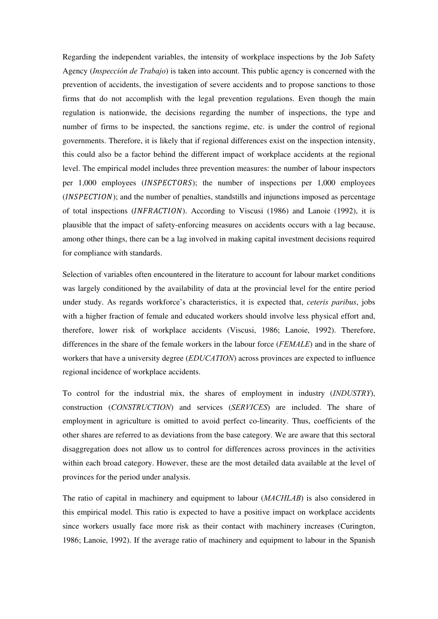Regarding the independent variables, the intensity of workplace inspections by the Job Safety Agency (*Inspección de Trabajo*) is taken into account. This public agency is concerned with the prevention of accidents, the investigation of severe accidents and to propose sanctions to those firms that do not accomplish with the legal prevention regulations. Even though the main regulation is nationwide, the decisions regarding the number of inspections, the type and number of firms to be inspected, the sanctions regime, etc. is under the control of regional governments. Therefore, it is likely that if regional differences exist on the inspection intensity, this could also be a factor behind the different impact of workplace accidents at the regional level. The empirical model includes three prevention measures: the number of labour inspectors per  $1,000$  employees (*INSPECTORS*); the number of inspections per  $1,000$  employees  $(INSPECTION)$ ; and the number of penalties, standstills and injunctions imposed as percentage of total inspections (INFRACTION). According to Viscusi (1986) and Lanoie (1992), it is plausible that the impact of safety-enforcing measures on accidents occurs with a lag because, among other things, there can be a lag involved in making capital investment decisions required for compliance with standards.

Selection of variables often encountered in the literature to account for labour market conditions was largely conditioned by the availability of data at the provincial level for the entire period under study. As regards workforce's characteristics, it is expected that, *ceteris paribus*, jobs with a higher fraction of female and educated workers should involve less physical effort and, therefore, lower risk of workplace accidents (Viscusi, 1986; Lanoie, 1992). Therefore, differences in the share of the female workers in the labour force (*FEMALE*) and in the share of workers that have a university degree (*EDUCATION*) across provinces are expected to influence regional incidence of workplace accidents.

To control for the industrial mix, the shares of employment in industry (*INDUSTRY*), construction (*CONSTRUCTION*) and services (*SERVICES*) are included. The share of employment in agriculture is omitted to avoid perfect co-linearity. Thus, coefficients of the other shares are referred to as deviations from the base category. We are aware that this sectoral disaggregation does not allow us to control for differences across provinces in the activities within each broad category. However, these are the most detailed data available at the level of provinces for the period under analysis.

The ratio of capital in machinery and equipment to labour (*MACHLAB*) is also considered in this empirical model. This ratio is expected to have a positive impact on workplace accidents since workers usually face more risk as their contact with machinery increases (Curington, 1986; Lanoie, 1992). If the average ratio of machinery and equipment to labour in the Spanish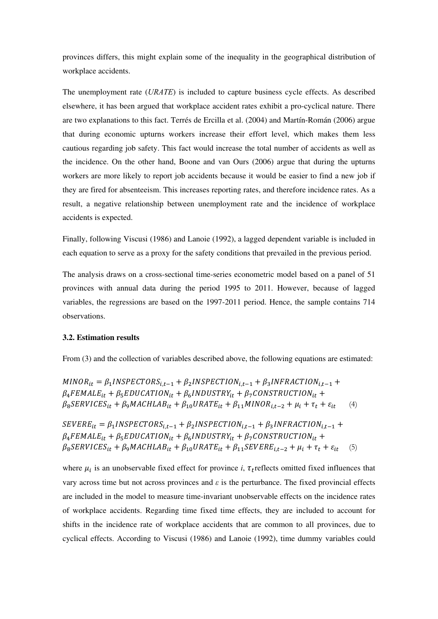provinces differs, this might explain some of the inequality in the geographical distribution of workplace accidents.

The unemployment rate (*URATE*) is included to capture business cycle effects. As described elsewhere, it has been argued that workplace accident rates exhibit a pro-cyclical nature. There are two explanations to this fact. Terrés de Ercilla et al. (2004) and Martín-Román (2006) argue that during economic upturns workers increase their effort level, which makes them less cautious regarding job safety. This fact would increase the total number of accidents as well as the incidence. On the other hand, Boone and van Ours (2006) argue that during the upturns workers are more likely to report job accidents because it would be easier to find a new job if they are fired for absenteeism. This increases reporting rates, and therefore incidence rates. As a result, a negative relationship between unemployment rate and the incidence of workplace accidents is expected.

Finally, following Viscusi (1986) and Lanoie (1992), a lagged dependent variable is included in each equation to serve as a proxy for the safety conditions that prevailed in the previous period.

The analysis draws on a cross-sectional time-series econometric model based on a panel of 51 provinces with annual data during the period 1995 to 2011. However, because of lagged variables, the regressions are based on the 1997-2011 period. Hence, the sample contains 714 observations.

#### **3.2. Estimation results**

From (3) and the collection of variables described above, the following equations are estimated:

 $MINOR_{it} = \beta_1 INSPECTORS_{i,t-1} + \beta_2 INSPECTION_{i,t-1} + \beta_3 INFRACTION_{i,t-1} +$  $\beta_4$ FEMALE<sub>it</sub> +  $\beta_5$ EDUCATION<sub>it</sub> +  $\beta_6$ INDUSTRY<sub>it</sub> +  $\beta_7$ CONSTRUCTION<sub>it</sub> +  $\beta_8$ SERVICES<sub>it</sub> +  $\beta_9$ MACHLAB<sub>it</sub> +  $\beta_{10}$ URATE<sub>it</sub> +  $\beta_{11}$ MINOR<sub>it-2</sub> +  $\mu_i$  +  $\tau_t$  +  $\varepsilon_{it}$  (4)

 $SEVERE_{it} = \beta_1 INSPECTORS_{i,t-1} + \beta_2 INSPECTION_{i,t-1} + \beta_3 INFRACTION_{i,t-1} +$  $\beta_4$ FEMALE<sub>it</sub> +  $\beta_5$ EDUCATION<sub>it</sub> +  $\beta_6$ INDUSTRY<sub>it</sub> +  $\beta_7$ CONSTRUCTION<sub>it</sub> +  $\beta_8$ SERVICES<sub>it</sub> +  $\beta_9$ MACHLAB<sub>it</sub> +  $\beta_{10}$ URATE<sub>it</sub> +  $\beta_{11}$ SEVERE<sub>it-2</sub> +  $\mu_i$  +  $\tau_t$  +  $\varepsilon_{it}$  (5)

where  $\mu_i$  is an unobservable fixed effect for province *i*,  $\tau_t$  reflects omitted fixed influences that vary across time but not across provinces and  $\varepsilon$  is the perturbance. The fixed provincial effects are included in the model to measure time-invariant unobservable effects on the incidence rates of workplace accidents. Regarding time fixed time effects, they are included to account for shifts in the incidence rate of workplace accidents that are common to all provinces, due to cyclical effects. According to Viscusi (1986) and Lanoie (1992), time dummy variables could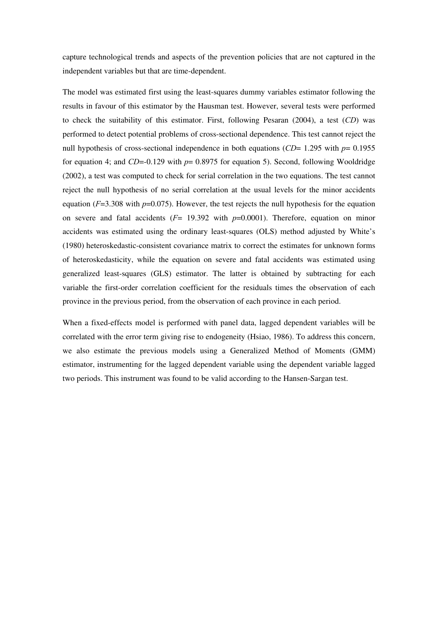capture technological trends and aspects of the prevention policies that are not captured in the independent variables but that are time-dependent.

The model was estimated first using the least-squares dummy variables estimator following the results in favour of this estimator by the Hausman test. However, several tests were performed to check the suitability of this estimator. First, following Pesaran (2004), a test (*CD*) was performed to detect potential problems of cross-sectional dependence. This test cannot reject the null hypothesis of cross-sectional independence in both equations (*CD*= 1.295 with  $p= 0.1955$ for equation 4; and *CD*=-0.129 with *p*= 0.8975 for equation 5). Second, following Wooldridge (2002), a test was computed to check for serial correlation in the two equations. The test cannot reject the null hypothesis of no serial correlation at the usual levels for the minor accidents equation  $(F=3.308$  with  $p=0.075$ ). However, the test rejects the null hypothesis for the equation on severe and fatal accidents (*F*= 19.392 with *p*=0.0001). Therefore, equation on minor accidents was estimated using the ordinary least-squares (OLS) method adjusted by White's (1980) heteroskedastic-consistent covariance matrix to correct the estimates for unknown forms of heteroskedasticity, while the equation on severe and fatal accidents was estimated using generalized least-squares (GLS) estimator. The latter is obtained by subtracting for each variable the first-order correlation coefficient for the residuals times the observation of each province in the previous period, from the observation of each province in each period.

When a fixed-effects model is performed with panel data, lagged dependent variables will be correlated with the error term giving rise to endogeneity (Hsiao, 1986). To address this concern, we also estimate the previous models using a Generalized Method of Moments (GMM) estimator, instrumenting for the lagged dependent variable using the dependent variable lagged two periods. This instrument was found to be valid according to the Hansen-Sargan test.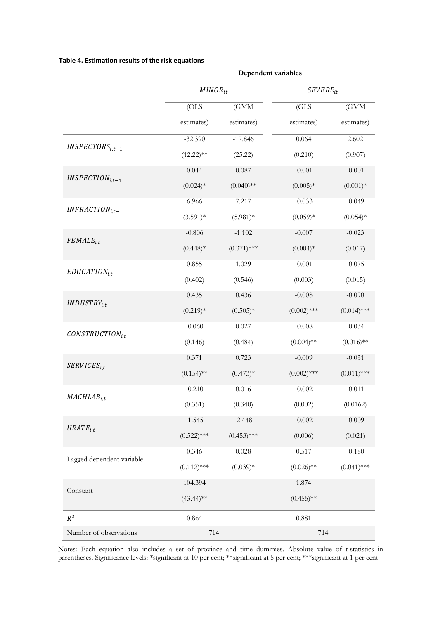#### **Table 4. Estimation results of the risk equations**

|                           | $MINOR_{it}$  |               | $SEVERE_{it}$ |               |  |
|---------------------------|---------------|---------------|---------------|---------------|--|
|                           |               |               |               |               |  |
|                           | (OLS          | (GMM          | (GLS          | (GMM          |  |
|                           | estimates)    | estimates)    | estimates)    | estimates)    |  |
|                           | $-32.390$     | $-17.846$     | 0.064         | 2.602         |  |
| $INSPECTORS_{i,t-1}$      | $(12.22)$ **  | (25.22)       | (0.210)       | (0.907)       |  |
| $INSPECTION_{i,t-1}$      | 0.044         | 0.087         | $-0.001$      | $-0.001$      |  |
|                           | $(0.024)*$    | $(0.040)$ **  | $(0.005)*$    | $(0.001)*$    |  |
| $INFRACTION_{i,t-1}$      | 6.966         | 7.217         | $-0.033$      | $-0.049$      |  |
|                           | $(3.591)*$    | $(5.981)*$    | $(0.059)*$    | $(0.054)*$    |  |
| $FEMALE_{i.t}$            | $-0.806$      | $-1.102$      | $-0.007$      | $-0.023$      |  |
|                           | $(0.448)*$    | $(0.371)$ *** | $(0.004)*$    | (0.017)       |  |
| $EDUCATION_{i.t}$         | 0.855         | 1.029         | $-0.001$      | $-0.075$      |  |
|                           | (0.402)       | (0.546)       | (0.003)       | (0.015)       |  |
| $INDUSTRY_{i.t}$          | 0.435         | 0.436         | $-0.008$      | $-0.090$      |  |
|                           | $(0.219)*$    | $(0.505)*$    | $(0.002)$ *** | $(0.014)$ *** |  |
| $CONSTRUCTION_{i.t}$      | $-0.060$      | 0.027         | $-0.008$      | $-0.034$      |  |
|                           | (0.146)       | (0.484)       | $(0.004)$ **  | $(0.016)$ **  |  |
| $SERVICES_{i.t}$          | 0.371         | 0.723         | $-0.009$      | $-0.031$      |  |
|                           | $(0.154)$ **  | $(0.473)*$    | $(0.002)$ *** | $(0.011)$ *** |  |
| $MACHLAB$ <sub>i.t</sub>  | $-0.210$      | 0.016         | $-0.002$      | $-0.011$      |  |
|                           | (0.351)       | (0.340)       | (0.002)       | (0.0162)      |  |
| $URATE$ <sub>i,t</sub>    | $-1.545$      | $-2.448$      | $-0.002$      | $-0.009$      |  |
|                           | $(0.522)$ *** | $(0.453)$ *** | (0.006)       | (0.021)       |  |
| Lagged dependent variable | 0.346         | $0.028\,$     | 0.517         | $-0.180$      |  |
|                           | $(0.112)$ *** | $(0.039)*$    | $(0.026)$ **  | $(0.041)$ *** |  |
| Constant                  | 104.394       |               | 1.874         |               |  |
|                           | $(43.44)$ **  |               | $(0.455)$ **  |               |  |
| $\bar{R}^2$               | 0.864         |               | 0.881         |               |  |
| Number of observations    | 714           |               | 714           |               |  |

**Dependent variables**

Notes: Each equation also includes a set of province and time dummies. Absolute value of t-statistics in parentheses. Significance levels: \*significant at 10 per cent; \*\*significant at 5 per cent; \*\*\*significant at 1 per cent.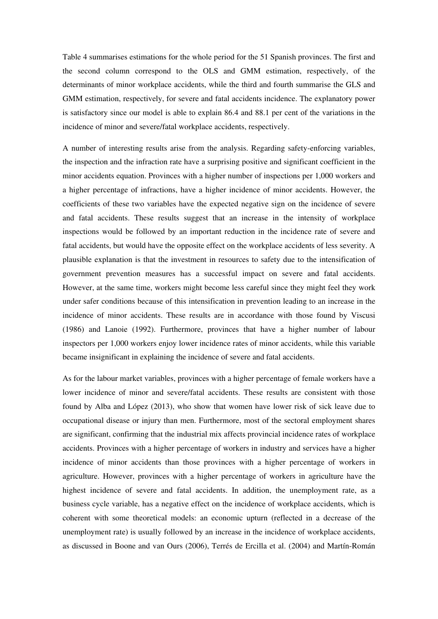Table 4 summarises estimations for the whole period for the 51 Spanish provinces. The first and the second column correspond to the OLS and GMM estimation, respectively, of the determinants of minor workplace accidents, while the third and fourth summarise the GLS and GMM estimation, respectively, for severe and fatal accidents incidence. The explanatory power is satisfactory since our model is able to explain 86.4 and 88.1 per cent of the variations in the incidence of minor and severe/fatal workplace accidents, respectively.

A number of interesting results arise from the analysis. Regarding safety-enforcing variables, the inspection and the infraction rate have a surprising positive and significant coefficient in the minor accidents equation. Provinces with a higher number of inspections per 1,000 workers and a higher percentage of infractions, have a higher incidence of minor accidents. However, the coefficients of these two variables have the expected negative sign on the incidence of severe and fatal accidents. These results suggest that an increase in the intensity of workplace inspections would be followed by an important reduction in the incidence rate of severe and fatal accidents, but would have the opposite effect on the workplace accidents of less severity. A plausible explanation is that the investment in resources to safety due to the intensification of government prevention measures has a successful impact on severe and fatal accidents. However, at the same time, workers might become less careful since they might feel they work under safer conditions because of this intensification in prevention leading to an increase in the incidence of minor accidents. These results are in accordance with those found by Viscusi (1986) and Lanoie (1992). Furthermore, provinces that have a higher number of labour inspectors per 1,000 workers enjoy lower incidence rates of minor accidents, while this variable became insignificant in explaining the incidence of severe and fatal accidents.

As for the labour market variables, provinces with a higher percentage of female workers have a lower incidence of minor and severe/fatal accidents. These results are consistent with those found by Alba and López (2013), who show that women have lower risk of sick leave due to occupational disease or injury than men. Furthermore, most of the sectoral employment shares are significant, confirming that the industrial mix affects provincial incidence rates of workplace accidents. Provinces with a higher percentage of workers in industry and services have a higher incidence of minor accidents than those provinces with a higher percentage of workers in agriculture. However, provinces with a higher percentage of workers in agriculture have the highest incidence of severe and fatal accidents. In addition, the unemployment rate, as a business cycle variable, has a negative effect on the incidence of workplace accidents, which is coherent with some theoretical models: an economic upturn (reflected in a decrease of the unemployment rate) is usually followed by an increase in the incidence of workplace accidents, as discussed in Boone and van Ours (2006), Terrés de Ercilla et al. (2004) and Martín-Román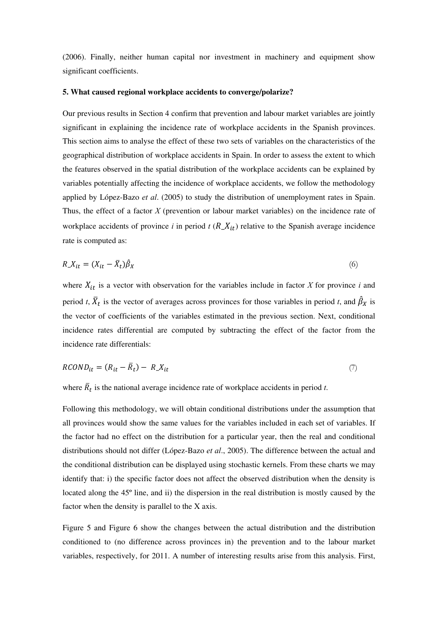(2006). Finally, neither human capital nor investment in machinery and equipment show significant coefficients.

#### **5. What caused regional workplace accidents to converge/polarize?**

Our previous results in Section 4 confirm that prevention and labour market variables are jointly significant in explaining the incidence rate of workplace accidents in the Spanish provinces. This section aims to analyse the effect of these two sets of variables on the characteristics of the geographical distribution of workplace accidents in Spain. In order to assess the extent to which the features observed in the spatial distribution of the workplace accidents can be explained by variables potentially affecting the incidence of workplace accidents, we follow the methodology applied by López-Bazo *et al*. (2005) to study the distribution of unemployment rates in Spain. Thus, the effect of a factor *X* (prevention or labour market variables) on the incidence rate of workplace accidents of province *i* in period  $t$  ( $R_X(t)$ ) relative to the Spanish average incidence rate is computed as:

$$
R_{\perp} X_{it} = (X_{it} - \bar{X}_t) \hat{\beta}_X \tag{6}
$$

where  $X_{it}$  is a vector with observation for the variables include in factor  $X$  for province  $i$  and period *t*,  $\overline{X}_t$  is the vector of averages across provinces for those variables in period *t*, and  $\beta_X$  is the vector of coefficients of the variables estimated in the previous section. Next, conditional incidence rates differential are computed by subtracting the effect of the factor from the incidence rate differentials:

$$
RCOND_{it} = (R_{it} - \overline{R}_t) - R_X_{it} \tag{7}
$$

where  $\overline{R}_t$  is the national average incidence rate of workplace accidents in period *t*.

Following this methodology, we will obtain conditional distributions under the assumption that all provinces would show the same values for the variables included in each set of variables. If the factor had no effect on the distribution for a particular year, then the real and conditional distributions should not differ (López-Bazo *et al*., 2005). The difference between the actual and the conditional distribution can be displayed using stochastic kernels. From these charts we may identify that: i) the specific factor does not affect the observed distribution when the density is located along the 45º line, and ii) the dispersion in the real distribution is mostly caused by the factor when the density is parallel to the X axis.

Figure 5 and Figure 6 show the changes between the actual distribution and the distribution conditioned to (no difference across provinces in) the prevention and to the labour market variables, respectively, for 2011. A number of interesting results arise from this analysis. First,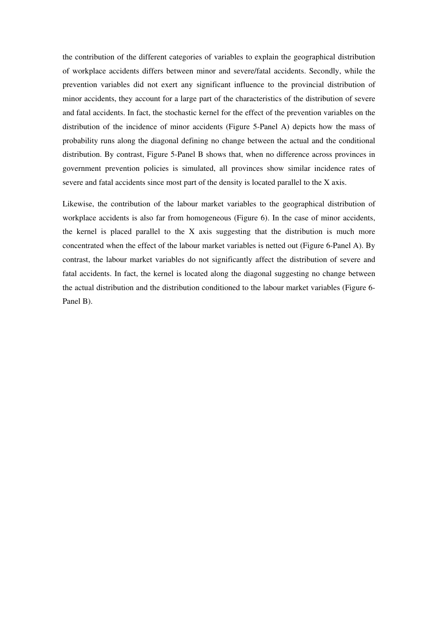the contribution of the different categories of variables to explain the geographical distribution of workplace accidents differs between minor and severe/fatal accidents. Secondly, while the prevention variables did not exert any significant influence to the provincial distribution of minor accidents, they account for a large part of the characteristics of the distribution of severe and fatal accidents. In fact, the stochastic kernel for the effect of the prevention variables on the distribution of the incidence of minor accidents (Figure 5-Panel A) depicts how the mass of probability runs along the diagonal defining no change between the actual and the conditional distribution. By contrast, Figure 5-Panel B shows that, when no difference across provinces in government prevention policies is simulated, all provinces show similar incidence rates of severe and fatal accidents since most part of the density is located parallel to the X axis.

Likewise, the contribution of the labour market variables to the geographical distribution of workplace accidents is also far from homogeneous (Figure 6). In the case of minor accidents, the kernel is placed parallel to the X axis suggesting that the distribution is much more concentrated when the effect of the labour market variables is netted out (Figure 6-Panel A). By contrast, the labour market variables do not significantly affect the distribution of severe and fatal accidents. In fact, the kernel is located along the diagonal suggesting no change between the actual distribution and the distribution conditioned to the labour market variables (Figure 6- Panel B).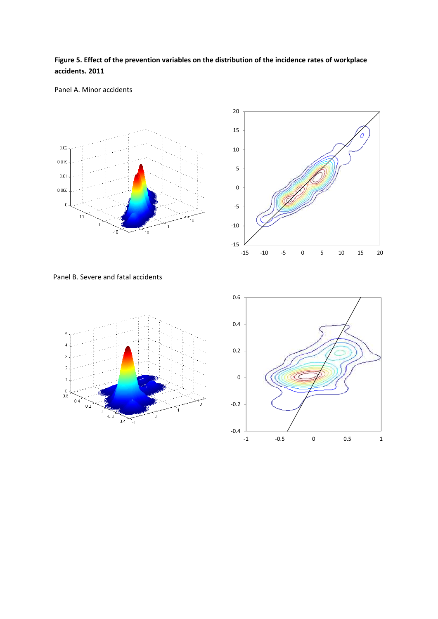## **Figure 5. Effect of the prevention variables on the distribution of the incidence rates of workplace accidents. 2011**

#### Panel A. Minor accidents





Panel B. Severe and fatal accidents



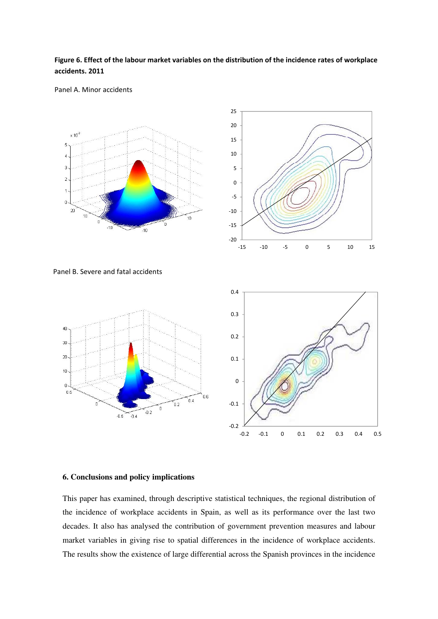## **Figure 6. Effect of the labour market variables on the distribution of the incidence rates of workplace accidents. 2011**

#### Panel A. Minor accidents



![](_page_23_Figure_3.jpeg)

Panel B. Severe and fatal accidents

![](_page_23_Figure_5.jpeg)

#### **6. Conclusions and policy implications**

This paper has examined, through descriptive statistical techniques, the regional distribution of the incidence of workplace accidents in Spain, as well as its performance over the last two decades. It also has analysed the contribution of government prevention measures and labour market variables in giving rise to spatial differences in the incidence of workplace accidents. The results show the existence of large differential across the Spanish provinces in the incidence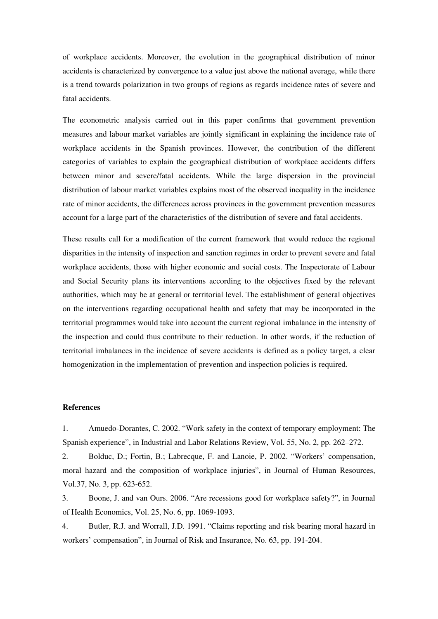of workplace accidents. Moreover, the evolution in the geographical distribution of minor accidents is characterized by convergence to a value just above the national average, while there is a trend towards polarization in two groups of regions as regards incidence rates of severe and fatal accidents.

The econometric analysis carried out in this paper confirms that government prevention measures and labour market variables are jointly significant in explaining the incidence rate of workplace accidents in the Spanish provinces. However, the contribution of the different categories of variables to explain the geographical distribution of workplace accidents differs between minor and severe/fatal accidents. While the large dispersion in the provincial distribution of labour market variables explains most of the observed inequality in the incidence rate of minor accidents, the differences across provinces in the government prevention measures account for a large part of the characteristics of the distribution of severe and fatal accidents.

These results call for a modification of the current framework that would reduce the regional disparities in the intensity of inspection and sanction regimes in order to prevent severe and fatal workplace accidents, those with higher economic and social costs. The Inspectorate of Labour and Social Security plans its interventions according to the objectives fixed by the relevant authorities, which may be at general or territorial level. The establishment of general objectives on the interventions regarding occupational health and safety that may be incorporated in the territorial programmes would take into account the current regional imbalance in the intensity of the inspection and could thus contribute to their reduction. In other words, if the reduction of territorial imbalances in the incidence of severe accidents is defined as a policy target, a clear homogenization in the implementation of prevention and inspection policies is required.

#### **References**

1. Amuedo-Dorantes, C. 2002. "Work safety in the context of temporary employment: The Spanish experience", in Industrial and Labor Relations Review, Vol. 55, No. 2, pp. 262–272.

2. Bolduc, D.; Fortin, B.; Labrecque, F. and Lanoie, P. 2002. "Workers' compensation, moral hazard and the composition of workplace injuries", in Journal of Human Resources, Vol.37, No. 3, pp. 623-652.

3. Boone, J. and van Ours. 2006. "Are recessions good for workplace safety?", in Journal of Health Economics, Vol. 25, No. 6, pp. 1069-1093.

4. Butler, R.J. and Worrall, J.D. 1991. "Claims reporting and risk bearing moral hazard in workers' compensation", in Journal of Risk and Insurance, No. 63, pp. 191-204.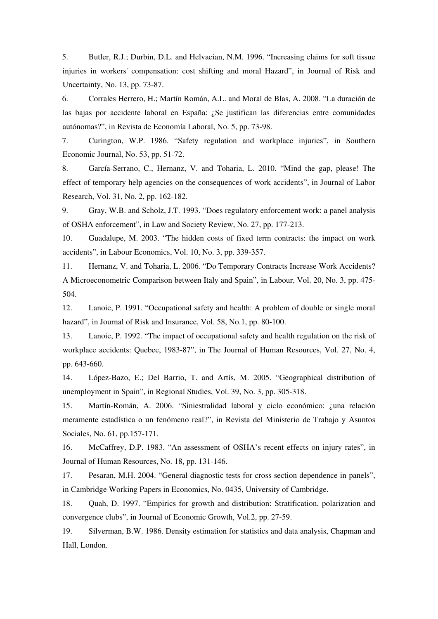5. Butler, R.J.; Durbin, D.L. and Helvacian, N.M. 1996. "Increasing claims for soft tissue injuries in workers' compensation: cost shifting and moral Hazard", in Journal of Risk and Uncertainty, No. 13, pp. 73-87.

6. Corrales Herrero, H.; Martín Román, A.L. and Moral de Blas, A. 2008. "La duración de las bajas por accidente laboral en España: ¿Se justifican las diferencias entre comunidades autónomas?", in Revista de Economía Laboral, No. 5, pp. 73-98.

7. Curington, W.P. 1986. "Safety regulation and workplace injuries", in Southern Economic Journal, No. 53, pp. 51-72.

8. García-Serrano, C., Hernanz, V. and Toharia, L. 2010. "Mind the gap, please! The effect of temporary help agencies on the consequences of work accidents", in Journal of Labor Research, Vol. 31, No. 2, pp. 162-182.

9. Gray, W.B. and Scholz, J.T. 1993. "Does regulatory enforcement work: a panel analysis of OSHA enforcement", in Law and Society Review, No. 27, pp. 177-213.

10. Guadalupe, M. 2003. "The hidden costs of fixed term contracts: the impact on work accidents", in Labour Economics, Vol. 10, No. 3, pp. 339-357.

11. Hernanz, V. and Toharia, L. 2006. "Do Temporary Contracts Increase Work Accidents? A Microeconometric Comparison between Italy and Spain", in Labour, Vol. 20, No. 3, pp. 475- 504.

12. Lanoie, P. 1991. "Occupational safety and health: A problem of double or single moral hazard", in Journal of Risk and Insurance, Vol. 58, No.1, pp. 80-100.

13. Lanoie, P. 1992. "The impact of occupational safety and health regulation on the risk of workplace accidents: Quebec, 1983-87", in The Journal of Human Resources, Vol. 27, No. 4, pp. 643-660.

14. López-Bazo, E.; Del Barrio, T. and Artís, M. 2005. "Geographical distribution of unemployment in Spain", in Regional Studies, Vol. 39, No. 3, pp. 305-318.

15. Martín-Román, A. 2006. "Siniestralidad laboral y ciclo económico: ¿una relación meramente estadística o un fenómeno real?", in Revista del Ministerio de Trabajo y Asuntos Sociales, No. 61, pp.157-171.

16. McCaffrey, D.P. 1983. "An assessment of OSHA's recent effects on injury rates", in Journal of Human Resources, No. 18, pp. 131-146.

17. Pesaran, M.H. 2004. "General diagnostic tests for cross section dependence in panels", in Cambridge Working Papers in Economics, No. 0435, University of Cambridge.

18. Quah, D. 1997. "Empirics for growth and distribution: Stratification, polarization and convergence clubs", in Journal of Economic Growth, Vol.2, pp. 27-59.

19. Silverman, B.W. 1986. Density estimation for statistics and data analysis, Chapman and Hall, London.